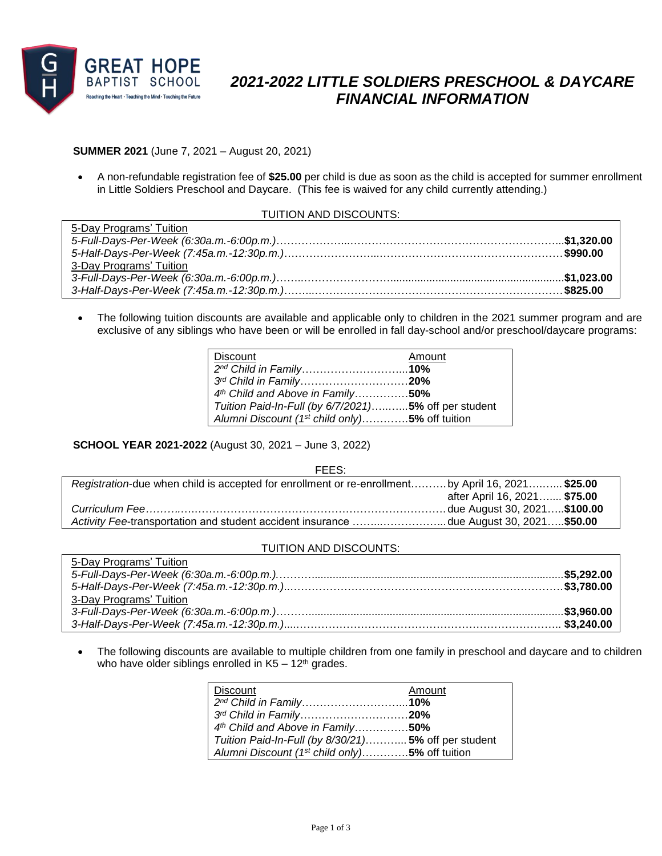

# *2021-2022 LITTLE SOLDIERS PRESCHOOL & DAYCARE FINANCIAL INFORMATION*

## **SUMMER 2021** (June 7, 2021 – August 20, 2021)

 A non-refundable registration fee of **\$25.00** per child is due as soon as the child is accepted for summer enrollment in Little Soldiers Preschool and Daycare. (This fee is waived for any child currently attending.)

#### TUITION AND DISCOUNTS:

| 5-Day Programs' Tuition |  |
|-------------------------|--|
|                         |  |
|                         |  |
| 3-Day Programs' Tuition |  |
|                         |  |
|                         |  |

 The following tuition discounts are available and applicable only to children in the 2021 summer program and are exclusive of any siblings who have been or will be enrolled in fall day-school and/or preschool/daycare programs:

| <b>Discount</b>                                            | Amount |
|------------------------------------------------------------|--------|
| 2 <sup>nd</sup> Child in Family10%                         |        |
| 3rd Child in Family20%                                     |        |
| 4th Child and Above in Family50%                           |        |
| Tuition Paid-In-Full (by 6/7/2021)5% off per student       |        |
| Alumni Discount (1 <sup>st</sup> child only)5% off tuition |        |

## **SCHOOL YEAR 2021-2022** (August 30, 2021 – June 3, 2022)

| FEES:                                                                                             |                              |
|---------------------------------------------------------------------------------------------------|------------------------------|
| Registration-due when child is accepted for enrollment or re-enrollment by April 16, 2021 \$25.00 |                              |
|                                                                                                   | after April 16, 2021 \$75.00 |
|                                                                                                   |                              |
| Activity Fee-transportation and student accident insurance due August 30, 2021\$50.00             |                              |

### TUITION AND DISCOUNTS:

| 5-Day Programs' Tuition |  |
|-------------------------|--|
|                         |  |
|                         |  |
| 3-Day Programs' Tuition |  |
|                         |  |
|                         |  |

 The following discounts are available to multiple children from one family in preschool and daycare and to children who have older siblings enrolled in  $K5 - 12$ <sup>th</sup> grades.

| <b>Discount</b>                                            | Amount |
|------------------------------------------------------------|--------|
| 2 <sup>nd</sup> Child in Family10%                         |        |
| 3rd Child in Family20%                                     |        |
| 4th Child and Above in Family50%                           |        |
| Tuition Paid-In-Full (by 8/30/21) 5% off per student       |        |
| Alumni Discount (1 <sup>st</sup> child only)5% off tuition |        |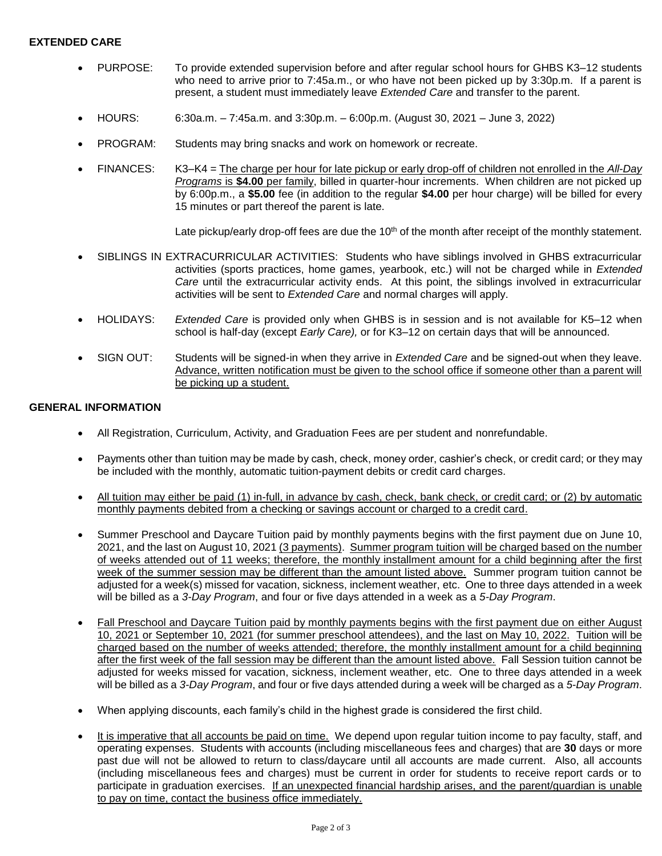## **EXTENDED CARE**

- PURPOSE: To provide extended supervision before and after regular school hours for GHBS K3–12 students who need to arrive prior to 7:45a.m., or who have not been picked up by 3:30p.m. If a parent is present, a student must immediately leave *Extended Care* and transfer to the parent.
- HOURS: 6:30a.m. 7:45a.m. and 3:30p.m. 6:00p.m. (August 30, 2021 June 3, 2022)
- PROGRAM: Students may bring snacks and work on homework or recreate.
- FINANCES: K3–K4 = The charge per hour for late pickup or early drop-off of children not enrolled in the *All-Day Programs* is **\$4.00** per family, billed in quarter-hour increments. When children are not picked up by 6:00p.m., a **\$5.00** fee (in addition to the regular **\$4.00** per hour charge) will be billed for every 15 minutes or part thereof the parent is late.

Late pickup/early drop-off fees are due the 10<sup>th</sup> of the month after receipt of the monthly statement.

- SIBLINGS IN EXTRACURRICULAR ACTIVITIES: Students who have siblings involved in GHBS extracurricular activities (sports practices, home games, yearbook, etc.) will not be charged while in *Extended Care* until the extracurricular activity ends. At this point, the siblings involved in extracurricular activities will be sent to *Extended Care* and normal charges will apply.
- HOLIDAYS: *Extended Care* is provided only when GHBS is in session and is not available for K5–12 when school is half-day (except *Early Care),* or for K3–12 on certain days that will be announced.
- SIGN OUT: Students will be signed-in when they arrive in *Extended Care* and be signed-out when they leave. Advance, written notification must be given to the school office if someone other than a parent will be picking up a student.

#### **GENERAL INFORMATION**

- All Registration, Curriculum, Activity, and Graduation Fees are per student and nonrefundable.
- Payments other than tuition may be made by cash, check, money order, cashier's check, or credit card; or they may be included with the monthly, automatic tuition-payment debits or credit card charges.
- All tuition may either be paid (1) in-full, in advance by cash, check, bank check, or credit card; or (2) by automatic monthly payments debited from a checking or savings account or charged to a credit card.
- Summer Preschool and Daycare Tuition paid by monthly payments begins with the first payment due on June 10, 2021, and the last on August 10, 2021 (3 payments). Summer program tuition will be charged based on the number of weeks attended out of 11 weeks; therefore, the monthly installment amount for a child beginning after the first week of the summer session may be different than the amount listed above. Summer program tuition cannot be adjusted for a week(s) missed for vacation, sickness, inclement weather, etc. One to three days attended in a week will be billed as a *3-Day Program*, and four or five days attended in a week as a *5-Day Program*.
- Fall Preschool and Daycare Tuition paid by monthly payments begins with the first payment due on either August 10, 2021 or September 10, 2021 (for summer preschool attendees), and the last on May 10, 2022. Tuition will be charged based on the number of weeks attended; therefore, the monthly installment amount for a child beginning after the first week of the fall session may be different than the amount listed above. Fall Session tuition cannot be adjusted for weeks missed for vacation, sickness, inclement weather, etc. One to three days attended in a week will be billed as a *3-Day Program*, and four or five days attended during a week will be charged as a *5-Day Program*.
- When applying discounts, each family's child in the highest grade is considered the first child.
- It is imperative that all accounts be paid on time. We depend upon regular tuition income to pay faculty, staff, and operating expenses. Students with accounts (including miscellaneous fees and charges) that are **30** days or more past due will not be allowed to return to class/daycare until all accounts are made current. Also, all accounts (including miscellaneous fees and charges) must be current in order for students to receive report cards or to participate in graduation exercises. If an unexpected financial hardship arises, and the parent/guardian is unable to pay on time, contact the business office immediately.